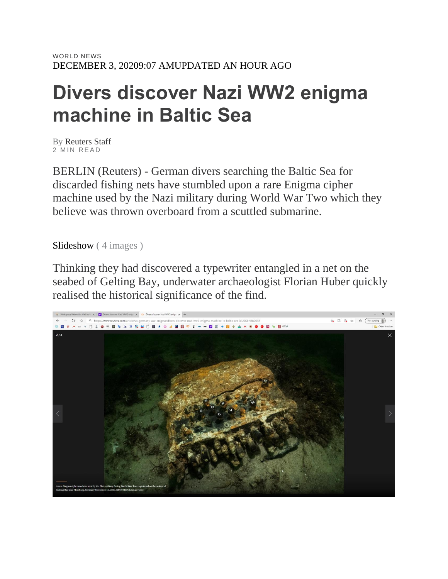## **Divers discover Nazi WW2 enigma machine in Baltic Sea**

By Reuters Staff 2 MIN READ

BERLIN (Reuters) - German divers searching the Baltic Sea for discarded fishing nets have stumbled upon a rare Enigma cipher machine used by the Nazi military during World War Two which they believe was thrown overboard from a scuttled submarine.

Slideshow ( 4 images )

Thinking they had discovered a typewriter entangled in a net on the seabed of Gelting Bay, underwater archaeologist Florian Huber quickly realised the historical significance of the find.

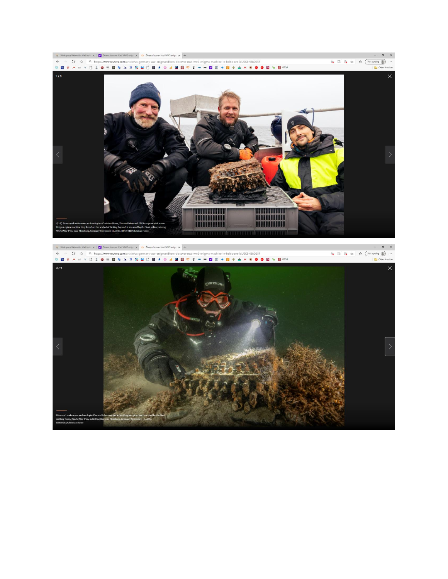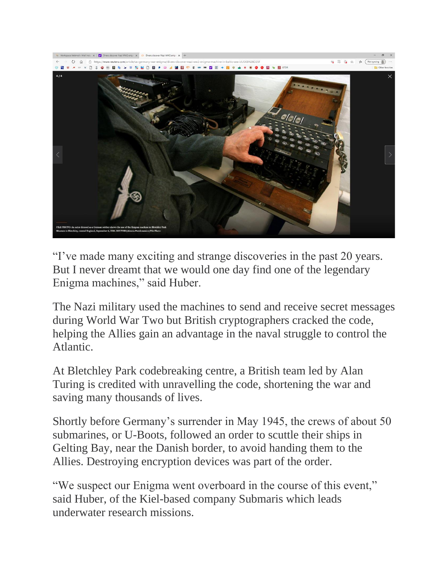

"I've made many exciting and strange discoveries in the past 20 years. But I never dreamt that we would one day find one of the legendary Enigma machines," said Huber.

The Nazi military used the machines to send and receive secret messages during World War Two but British cryptographers cracked the code, helping the Allies gain an advantage in the naval struggle to control the Atlantic.

At Bletchley Park codebreaking centre, a British team led by Alan Turing is credited with unravelling the code, shortening the war and saving many thousands of lives.

Shortly before Germany's surrender in May 1945, the crews of about 50 submarines, or U-Boots, followed an order to scuttle their ships in Gelting Bay, near the Danish border, to avoid handing them to the Allies. Destroying encryption devices was part of the order.

"We suspect our Enigma went overboard in the course of this event," said Huber, of the Kiel-based company Submaris which leads underwater research missions.